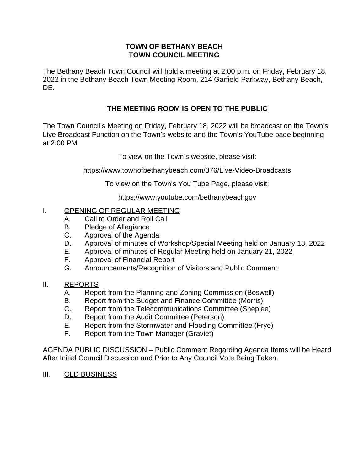### **TOWN OF BETHANY BEACH TOWN COUNCIL MEETING**

The Bethany Beach Town Council will hold a meeting at 2:00 p.m. on Friday, February 18, 2022 in the Bethany Beach Town Meeting Room, 214 Garfield Parkway, Bethany Beach, DE.

# **THE MEETING ROOM IS OPEN TO THE PUBLIC**

The Town Council's Meeting on Friday, February 18, 2022 will be broadcast on the Town's Live Broadcast Function on the Town's website and the Town's YouTube page beginning at 2:00 PM

To view on the Town's website, please visit:

<https://www.townofbethanybeach.com/376/Live-Video-Broadcasts>

To view on the Town's You Tube Page, please visit:

<https://www.youtube.com/bethanybeachgov>

## I. OPENING OF REGULAR MEETING

- A. Call to Order and Roll Call
- B. Pledge of Allegiance<br>C. Approval of the Agen
- Approval of the Agenda
- D. Approval of minutes of Workshop/Special Meeting held on January 18, 2022
- E. Approval of minutes of Regular Meeting held on January 21, 2022
- F. Approval of Financial Report
- G. Announcements/Recognition of Visitors and Public Comment

### II. REPORTS

- A. Report from the Planning and Zoning Commission (Boswell)
- B. Report from the Budget and Finance Committee (Morris)
- C. Report from the Telecommunications Committee (Sheplee)
- D. Report from the Audit Committee (Peterson)
- E. Report from the Stormwater and Flooding Committee (Frye)
- F. Report from the Town Manager (Graviet)

AGENDA PUBLIC DISCUSSION – Public Comment Regarding Agenda Items will be Heard After Initial Council Discussion and Prior to Any Council Vote Being Taken.

III. OLD BUSINESS